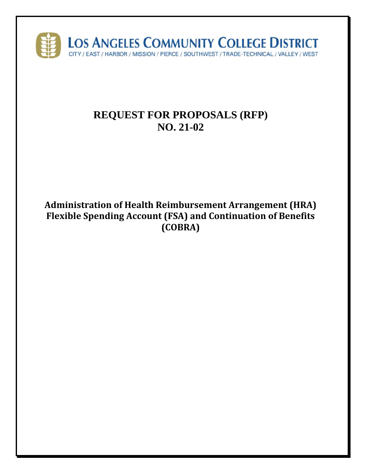

# **REQUEST FOR PROPOSALS (RFP) NO. 21-02**

**Administration of Health Reimbursement Arrangement (HRA) Flexible Spending Account (FSA) and Continuation of Benefits (COBRA)**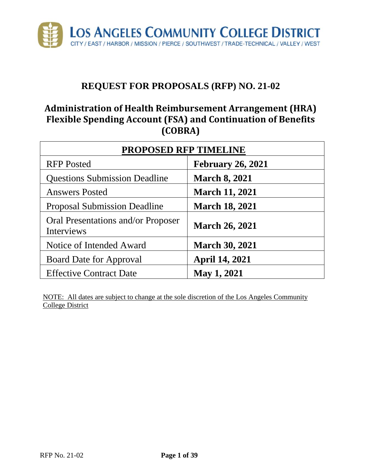

# **REQUEST FOR PROPOSALS (RFP) NO. 21-02**

# **Administration of Health Reimbursement Arrangement (HRA) Flexible Spending Account (FSA) and Continuation of Benefits (COBRA)**

| <b>PROPOSED RFP TIMELINE</b>                     |                          |  |
|--------------------------------------------------|--------------------------|--|
| <b>RFP</b> Posted                                | <b>February 26, 2021</b> |  |
| <b>Questions Submission Deadline</b>             | <b>March 8, 2021</b>     |  |
| <b>Answers Posted</b>                            | <b>March 11, 2021</b>    |  |
| <b>Proposal Submission Deadline</b>              | <b>March 18, 2021</b>    |  |
| Oral Presentations and/or Proposer<br>Interviews | <b>March 26, 2021</b>    |  |
| Notice of Intended Award                         | <b>March 30, 2021</b>    |  |
| <b>Board Date for Approval</b>                   | <b>April 14, 2021</b>    |  |
| <b>Effective Contract Date</b>                   | <b>May 1, 2021</b>       |  |

NOTE: All dates are subject to change at the sole discretion of the Los Angeles Community College District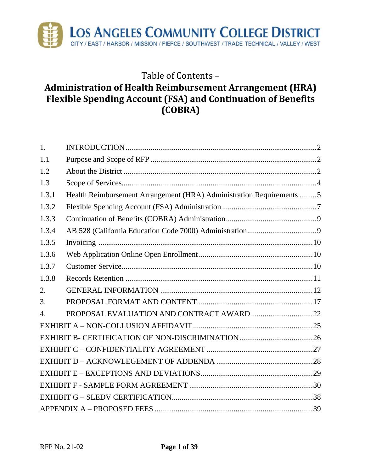

# Table of Contents – **Administration of Health Reimbursement Arrangement (HRA) Flexible Spending Account (FSA) and Continuation of Benefits (COBRA)**

| 1.               |                                                                      |  |
|------------------|----------------------------------------------------------------------|--|
| 1.1              |                                                                      |  |
| 1.2              |                                                                      |  |
| 1.3              |                                                                      |  |
| 1.3.1            | Health Reimbursement Arrangement (HRA) Administration Requirements 5 |  |
| 1.3.2            |                                                                      |  |
| 1.3.3            |                                                                      |  |
| 1.3.4            |                                                                      |  |
| 1.3.5            |                                                                      |  |
| 1.3.6            |                                                                      |  |
| 1.3.7            |                                                                      |  |
| 1.3.8            |                                                                      |  |
| 2.               |                                                                      |  |
| 3.               |                                                                      |  |
| $\overline{4}$ . |                                                                      |  |
|                  |                                                                      |  |
|                  |                                                                      |  |
|                  |                                                                      |  |
|                  |                                                                      |  |
|                  |                                                                      |  |
|                  |                                                                      |  |
|                  |                                                                      |  |
|                  |                                                                      |  |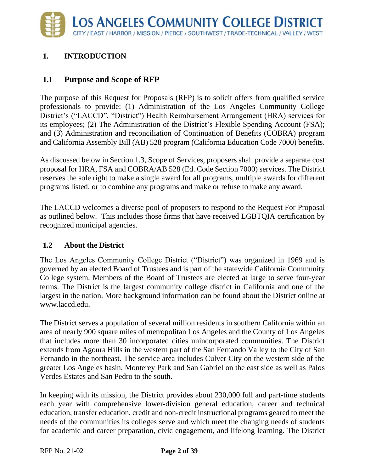# <span id="page-3-0"></span>**1. INTRODUCTION**

# <span id="page-3-1"></span>**1.1 Purpose and Scope of RFP**

The purpose of this Request for Proposals (RFP) is to solicit offers from qualified service professionals to provide: (1) Administration of the Los Angeles Community College District's ("LACCD", "District") Health Reimbursement Arrangement (HRA) services for its employees; (2) The Administration of the District's Flexible Spending Account (FSA); and (3) Administration and reconciliation of Continuation of Benefits (COBRA) program and California Assembly Bill (AB) 528 program (California Education Code 7000) benefits.

As discussed below in Section 1.3, Scope of Services, proposers shall provide a separate cost proposal for HRA, FSA and COBRA/AB 528 (Ed. Code Section 7000) services. The District reserves the sole right to make a single award for all programs, multiple awards for different programs listed, or to combine any programs and make or refuse to make any award.

The LACCD welcomes a diverse pool of proposers to respond to the Request For Proposal as outlined below. This includes those firms that have received LGBTQIA certification by recognized municipal agencies.

### <span id="page-3-2"></span>**1.2 About the District**

The Los Angeles Community College District ("District") was organized in 1969 and is governed by an elected Board of Trustees and is part of the statewide California Community College system. Members of the Board of Trustees are elected at large to serve four-year terms. The District is the largest community college district in California and one of the largest in the nation. More background information can be found about the District online at www.laccd.edu.

The District serves a population of several million residents in southern California within an area of nearly 900 square miles of metropolitan Los Angeles and the County of Los Angeles that includes more than 30 incorporated cities unincorporated communities. The District extends from Agoura Hills in the western part of the San Fernando Valley to the City of San Fernando in the northeast. The service area includes Culver City on the western side of the greater Los Angeles basin, Monterey Park and San Gabriel on the east side as well as Palos Verdes Estates and San Pedro to the south.

In keeping with its mission, the District provides about 230,000 full and part-time students each year with comprehensive lower-division general education, career and technical education, transfer education, credit and non-credit instructional programs geared to meet the needs of the communities its colleges serve and which meet the changing needs of students for academic and career preparation, civic engagement, and lifelong learning. The District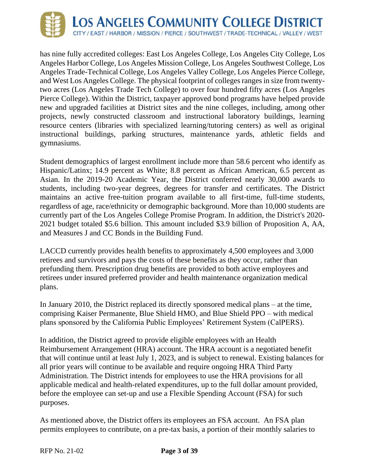

has nine fully accredited colleges: East Los Angeles College, Los Angeles City College, Los Angeles Harbor College, Los Angeles Mission College, Los Angeles Southwest College, Los Angeles Trade-Technical College, Los Angeles Valley College, Los Angeles Pierce College, and West Los Angeles College. The physical footprint of colleges ranges in size from twentytwo acres (Los Angeles Trade Tech College) to over four hundred fifty acres (Los Angeles Pierce College). Within the District, taxpayer approved bond programs have helped provide new and upgraded facilities at District sites and the nine colleges, including, among other projects, newly constructed classroom and instructional laboratory buildings, learning resource centers (libraries with specialized learning/tutoring centers) as well as original instructional buildings, parking structures, maintenance yards, athletic fields and gymnasiums.

Student demographics of largest enrollment include more than 58.6 percent who identify as Hispanic/Latinx; 14.9 percent as White; 8.8 percent as African American, 6.5 percent as Asian. In the 2019-20 Academic Year, the District conferred nearly 30,000 awards to students, including two-year degrees, degrees for transfer and certificates. The District maintains an active free-tuition program available to all first-time, full-time students, regardless of age, race/ethnicity or demographic background. More than 10,000 students are currently part of the Los Angeles College Promise Program. In addition, the District's 2020- 2021 budget totaled \$5.6 billion. This amount included \$3.9 billion of Proposition A, AA, and Measures J and CC Bonds in the Building Fund.

LACCD currently provides health benefits to approximately 4,500 employees and 3,000 retirees and survivors and pays the costs of these benefits as they occur, rather than prefunding them. Prescription drug benefits are provided to both active employees and retirees under insured preferred provider and health maintenance organization medical plans.

In January 2010, the District replaced its directly sponsored medical plans – at the time, comprising Kaiser Permanente, Blue Shield HMO, and Blue Shield PPO – with medical plans sponsored by the California Public Employees' Retirement System (CalPERS).

In addition, the District agreed to provide eligible employees with an Health Reimbursement Arrangement (HRA) account. The HRA account is a negotiated benefit that will continue until at least July 1, 2023, and is subject to renewal. Existing balances for all prior years will continue to be available and require ongoing HRA Third Party Administration. The District intends for employees to use the HRA provisions for all applicable medical and health-related expenditures, up to the full dollar amount provided, before the employee can set-up and use a Flexible Spending Account (FSA) for such purposes.

As mentioned above, the District offers its employees an FSA account. An FSA plan permits employees to contribute, on a pre-tax basis, a portion of their monthly salaries to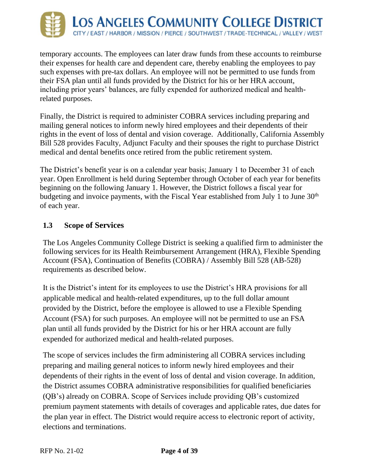

temporary accounts. The employees can later draw funds from these accounts to reimburse their expenses for health care and dependent care, thereby enabling the employees to pay such expenses with pre-tax dollars. An employee will not be permitted to use funds from their FSA plan until all funds provided by the District for his or her HRA account, including prior years' balances, are fully expended for authorized medical and healthrelated purposes.

Finally, the District is required to administer COBRA services including preparing and mailing general notices to inform newly hired employees and their dependents of their rights in the event of loss of dental and vision coverage. Additionally, California Assembly Bill 528 provides Faculty, Adjunct Faculty and their spouses the right to purchase District medical and dental benefits once retired from the public retirement system.

The District's benefit year is on a calendar year basis; January 1 to December 31 of each year. Open Enrollment is held during September through October of each year for benefits beginning on the following January 1. However, the District follows a fiscal year for budgeting and invoice payments, with the Fiscal Year established from July 1 to June 30<sup>th</sup> of each year.

### <span id="page-5-0"></span>**1.3 Scope of Services**

The Los Angeles Community College District is seeking a qualified firm to administer the following services for its Health Reimbursement Arrangement (HRA), Flexible Spending Account (FSA), Continuation of Benefits (COBRA) / Assembly Bill 528 (AB-528) requirements as described below.

It is the District's intent for its employees to use the District's HRA provisions for all applicable medical and health-related expenditures, up to the full dollar amount provided by the District, before the employee is allowed to use a Flexible Spending Account (FSA) for such purposes. An employee will not be permitted to use an FSA plan until all funds provided by the District for his or her HRA account are fully expended for authorized medical and health-related purposes.

The scope of services includes the firm administering all COBRA services including preparing and mailing general notices to inform newly hired employees and their dependents of their rights in the event of loss of dental and vision coverage. In addition, the District assumes COBRA administrative responsibilities for qualified beneficiaries (QB's) already on COBRA. Scope of Services include providing QB's customized premium payment statements with details of coverages and applicable rates, due dates for the plan year in effect. The District would require access to electronic report of activity, elections and terminations.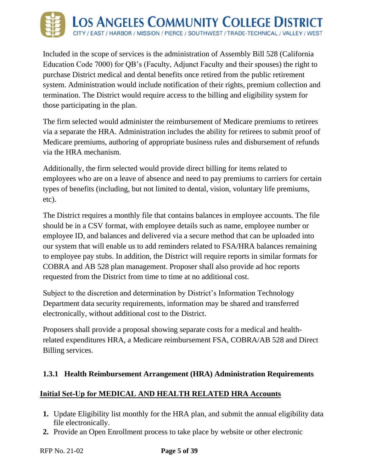

Included in the scope of services is the administration of Assembly Bill 528 (California Education Code 7000) for QB's (Faculty, Adjunct Faculty and their spouses) the right to purchase District medical and dental benefits once retired from the public retirement system. Administration would include notification of their rights, premium collection and termination. The District would require access to the billing and eligibility system for those participating in the plan.

The firm selected would administer the reimbursement of Medicare premiums to retirees via a separate the HRA. Administration includes the ability for retirees to submit proof of Medicare premiums, authoring of appropriate business rules and disbursement of refunds via the HRA mechanism.

Additionally, the firm selected would provide direct billing for items related to employees who are on a leave of absence and need to pay premiums to carriers for certain types of benefits (including, but not limited to dental, vision, voluntary life premiums, etc).

The District requires a monthly file that contains balances in employee accounts. The file should be in a CSV format, with employee details such as name, employee number or employee ID, and balances and delivered via a secure method that can be uploaded into our system that will enable us to add reminders related to FSA/HRA balances remaining to employee pay stubs. In addition, the District will require reports in similar formats for COBRA and AB 528 plan management. Proposer shall also provide ad hoc reports requested from the District from time to time at no additional cost.

Subject to the discretion and determination by District's Information Technology Department data security requirements, information may be shared and transferred electronically, without additional cost to the District.

Proposers shall provide a proposal showing separate costs for a medical and healthrelated expenditures HRA, a Medicare reimbursement FSA, COBRA/AB 528 and Direct Billing services.

#### <span id="page-6-0"></span>**1.3.1 Health Reimbursement Arrangement (HRA) Administration Requirements**

### **Initial Set‐Up for MEDICAL AND HEALTH RELATED HRA Accounts**

- **1.** Update Eligibility list monthly for the HRA plan, and submit the annual eligibility data file electronically.
- **2.** Provide an Open Enrollment process to take place by website or other electronic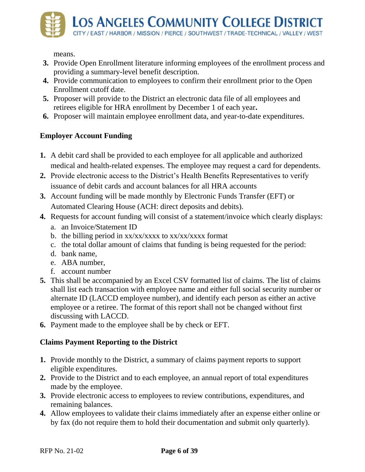

means.

- **3.** Provide Open Enrollment literature informing employees of the enrollment process and providing a summary-level benefit description.
- **4.** Provide communication to employees to confirm their enrollment prior to the Open Enrollment cutoff date.
- **5.** Proposer will provide to the District an electronic data file of all employees and retirees eligible for HRA enrollment by December 1 of each year**.**
- **6.** Proposer will maintain employee enrollment data, and year-to-date expenditures.

### **Employer Account Funding**

- **1.** A debit card shall be provided to each employee for all applicable and authorized medical and health-related expenses. The employee may request a card for dependents.
- **2.** Provide electronic access to the District's Health Benefits Representatives to verify issuance of debit cards and account balances for all HRA accounts
- **3.** Account funding will be made monthly by Electronic Funds Transfer (EFT) or Automated Clearing House (ACH: direct deposits and debits).
- **4.** Requests for account funding will consist of a statement/invoice which clearly displays:
	- a. an Invoice/Statement ID
	- b. the billing period in  $xx/xx/xxxx$  to  $xx/xx/xxxx$  format
	- c. the total dollar amount of claims that funding is being requested for the period:
	- d. bank name,
	- e. ABA number,
	- f. account number
- **5.** This shall be accompanied by an Excel CSV formatted list of claims. The list of claims shall list each transaction with employee name and either full social security number or alternate ID (LACCD employee number), and identify each person as either an active employee or a retiree. The format of this report shall not be changed without first discussing with LACCD.
- **6.** Payment made to the employee shall be by check or EFT.

### **Claims Payment Reporting to the District**

- **1.** Provide monthly to the District, a summary of claims payment reports to support eligible expenditures.
- **2.** Provide to the District and to each employee, an annual report of total expenditures made by the employee.
- **3.** Provide electronic access to employees to review contributions, expenditures, and remaining balances.
- **4.** Allow employees to validate their claims immediately after an expense either online or by fax (do not require them to hold their documentation and submit only quarterly).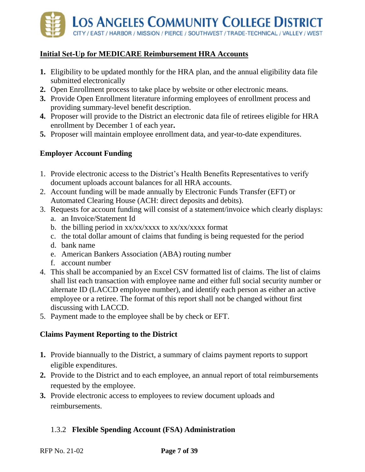

### **Initial Set‐Up for MEDICARE Reimbursement HRA Accounts**

- **1.** Eligibility to be updated monthly for the HRA plan, and the annual eligibility data file submitted electronically
- **2.** Open Enrollment process to take place by website or other electronic means.
- **3.** Provide Open Enrollment literature informing employees of enrollment process and providing summary-level benefit description.
- **4.** Proposer will provide to the District an electronic data file of retirees eligible for HRA enrollment by December 1 of each year**.**
- **5.** Proposer will maintain employee enrollment data, and year-to-date expenditures.

### **Employer Account Funding**

- 1. Provide electronic access to the District's Health Benefits Representatives to verify document uploads account balances for all HRA accounts.
- 2. Account funding will be made annually by Electronic Funds Transfer (EFT) or Automated Clearing House (ACH: direct deposits and debits).
- 3. Requests for account funding will consist of a statement/invoice which clearly displays: a. an Invoice/Statement Id
	- b. the billing period in  $xx/xx/xxxx$  to  $xx/xx/xxxx$  format
	- c. the total dollar amount of claims that funding is being requested for the period
	- d. bank name
	- e. American Bankers Association (ABA) routing number
	- f. account number
- 4. This shall be accompanied by an Excel CSV formatted list of claims. The list of claims shall list each transaction with employee name and either full social security number or alternate ID (LACCD employee number), and identify each person as either an active employee or a retiree. The format of this report shall not be changed without first discussing with LACCD.
- 5. Payment made to the employee shall be by check or EFT.

#### **Claims Payment Reporting to the District**

- **1.** Provide biannually to the District, a summary of claims payment reports to support eligible expenditures.
- **2.** Provide to the District and to each employee, an annual report of total reimbursements requested by the employee.
- **3.** Provide electronic access to employees to review document uploads and reimbursements.

### <span id="page-8-0"></span>1.3.2 **Flexible Spending Account (FSA) Administration**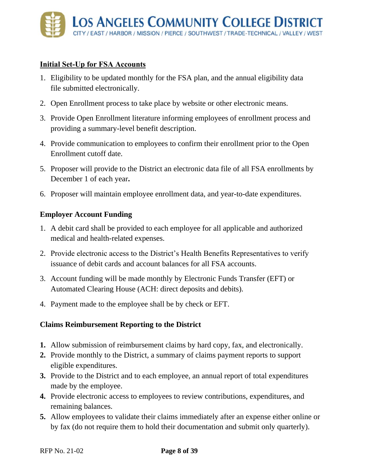### **Initial Set‐Up for FSA Accounts**

- 1. Eligibility to be updated monthly for the FSA plan, and the annual eligibility data file submitted electronically.
- 2. Open Enrollment process to take place by website or other electronic means.
- 3. Provide Open Enrollment literature informing employees of enrollment process and providing a summary-level benefit description.
- 4. Provide communication to employees to confirm their enrollment prior to the Open Enrollment cutoff date.
- 5. Proposer will provide to the District an electronic data file of all FSA enrollments by December 1 of each year**.**
- 6. Proposer will maintain employee enrollment data, and year-to-date expenditures.

### **Employer Account Funding**

- 1. A debit card shall be provided to each employee for all applicable and authorized medical and health-related expenses.
- 2. Provide electronic access to the District's Health Benefits Representatives to verify issuance of debit cards and account balances for all FSA accounts.
- 3. Account funding will be made monthly by Electronic Funds Transfer (EFT) or Automated Clearing House (ACH: direct deposits and debits).
- 4. Payment made to the employee shall be by check or EFT.

### **Claims Reimbursement Reporting to the District**

- **1.** Allow submission of reimbursement claims by hard copy, fax, and electronically.
- **2.** Provide monthly to the District, a summary of claims payment reports to support eligible expenditures.
- **3.** Provide to the District and to each employee, an annual report of total expenditures made by the employee.
- **4.** Provide electronic access to employees to review contributions, expenditures, and remaining balances.
- **5.** Allow employees to validate their claims immediately after an expense either online or by fax (do not require them to hold their documentation and submit only quarterly).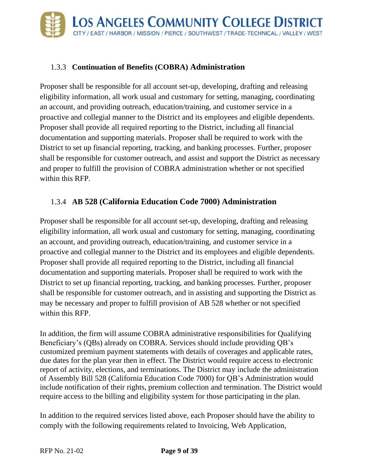## <span id="page-10-0"></span>1.3.3 **Continuation of Benefits (COBRA) Administration**

Proposer shall be responsible for all account set-up, developing, drafting and releasing eligibility information, all work usual and customary for setting, managing, coordinating an account, and providing outreach, education/training, and customer service in a proactive and collegial manner to the District and its employees and eligible dependents. Proposer shall provide all required reporting to the District, including all financial documentation and supporting materials. Proposer shall be required to work with the District to set up financial reporting, tracking, and banking processes. Further, proposer shall be responsible for customer outreach, and assist and support the District as necessary and proper to fulfill the provision of COBRA administration whether or not specified within this RFP.

# <span id="page-10-1"></span>1.3.4 **AB 528 (California Education Code 7000) Administration**

Proposer shall be responsible for all account set-up, developing, drafting and releasing eligibility information, all work usual and customary for setting, managing, coordinating an account, and providing outreach, education/training, and customer service in a proactive and collegial manner to the District and its employees and eligible dependents. Proposer shall provide all required reporting to the District, including all financial documentation and supporting materials. Proposer shall be required to work with the District to set up financial reporting, tracking, and banking processes. Further, proposer shall be responsible for customer outreach, and in assisting and supporting the District as may be necessary and proper to fulfill provision of AB 528 whether or not specified within this RFP.

In addition, the firm will assume COBRA administrative responsibilities for Qualifying Beneficiary's (QBs) already on COBRA. Services should include providing QB's customized premium payment statements with details of coverages and applicable rates, due dates for the plan year then in effect. The District would require access to electronic report of activity, elections, and terminations. The District may include the administration of Assembly Bill 528 (California Education Code 7000) for QB's Administration would include notification of their rights, premium collection and termination. The District would require access to the billing and eligibility system for those participating in the plan.

In addition to the required services listed above, each Proposer should have the ability to comply with the following requirements related to Invoicing, Web Application,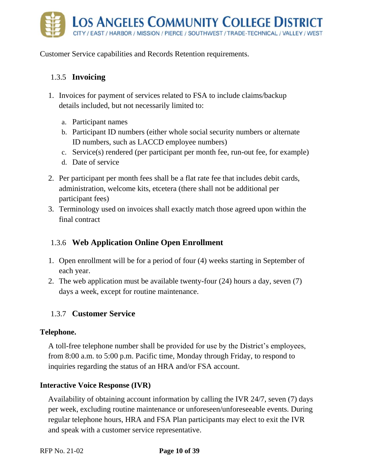

Customer Service capabilities and Records Retention requirements.

# <span id="page-11-0"></span>1.3.5 **Invoicing**

- 1. Invoices for payment of services related to FSA to include claims/backup details included, but not necessarily limited to:
	- a. Participant names
	- b. Participant ID numbers (either whole social security numbers or alternate ID numbers, such as LACCD employee numbers)
	- c. Service(s) rendered (per participant per month fee, run-out fee, for example)
	- d. Date of service
- 2. Per participant per month fees shall be a flat rate fee that includes debit cards, administration, welcome kits, etcetera (there shall not be additional per participant fees)
- 3. Terminology used on invoices shall exactly match those agreed upon within the final contract

# <span id="page-11-1"></span>1.3.6 **Web Application Online Open Enrollment**

- 1. Open enrollment will be for a period of four (4) weeks starting in September of each year.
- 2. The web application must be available twenty-four (24) hours a day, seven (7) days a week, except for routine maintenance.

# <span id="page-11-2"></span>1.3.7 **Customer Service**

#### **Telephone.**

A toll-free telephone number shall be provided for use by the District's employees, from 8:00 a.m. to 5:00 p.m. Pacific time, Monday through Friday, to respond to inquiries regarding the status of an HRA and/or FSA account.

### **Interactive Voice Response (IVR)**

Availability of obtaining account information by calling the IVR 24/7, seven (7) days per week, excluding routine maintenance or unforeseen/unforeseeable events. During regular telephone hours, HRA and FSA Plan participants may elect to exit the IVR and speak with a customer service representative.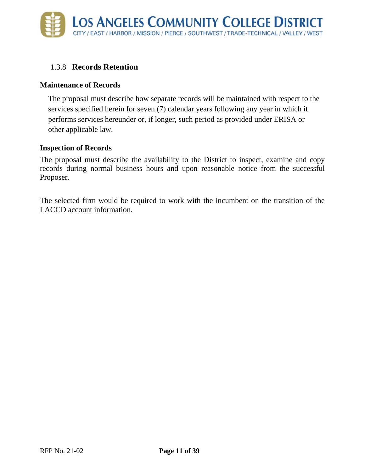## <span id="page-12-0"></span>1.3.8 **Records Retention**

#### **Maintenance of Records**

The proposal must describe how separate records will be maintained with respect to the services specified herein for seven (7) calendar years following any year in which it performs services hereunder or, if longer, such period as provided under ERISA or other applicable law.

#### **Inspection of Records**

The proposal must describe the availability to the District to inspect, examine and copy records during normal business hours and upon reasonable notice from the successful Proposer.

The selected firm would be required to work with the incumbent on the transition of the LACCD account information.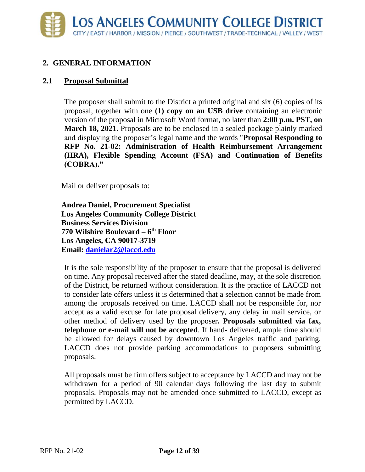### <span id="page-13-0"></span>**2. GENERAL INFORMATION**

### **2.1 Proposal Submittal**

The proposer shall submit to the District a printed original and six (6) copies of its proposal, together with one **(1) copy on an USB drive** containing an electronic version of the proposal in Microsoft Word format, no later than **2:00 p.m. PST, on March 18, 2021.** Proposals are to be enclosed in a sealed package plainly marked and displaying the proposer's legal name and the words "**Proposal Responding to RFP No. 21-02: Administration of Health Reimbursement Arrangement (HRA), Flexible Spending Account (FSA) and Continuation of Benefits (COBRA)."** 

Mail or deliver proposals to:

**Andrea Daniel, Procurement Specialist Los Angeles Community College District Business Services Division 770 Wilshire Boulevard – 6 th Floor Los Angeles, CA 90017-3719 Email: [danielar2@laccd.edu](mailto:danielar2@laccd.edu)**

It is the sole responsibility of the proposer to ensure that the proposal is delivered on time. Any proposal received after the stated deadline, may, at the sole discretion of the District, be returned without consideration. It is the practice of LACCD not to consider late offers unless it is determined that a selection cannot be made from among the proposals received on time. LACCD shall not be responsible for, nor accept as a valid excuse for late proposal delivery, any delay in mail service, or other method of delivery used by the proposer**. Proposals submitted via fax, telephone or e-mail will not be accepted**. If hand- delivered, ample time should be allowed for delays caused by downtown Los Angeles traffic and parking. LACCD does not provide parking accommodations to proposers submitting proposals.

All proposals must be firm offers subject to acceptance by LACCD and may not be withdrawn for a period of 90 calendar days following the last day to submit proposals. Proposals may not be amended once submitted to LACCD, except as permitted by LACCD.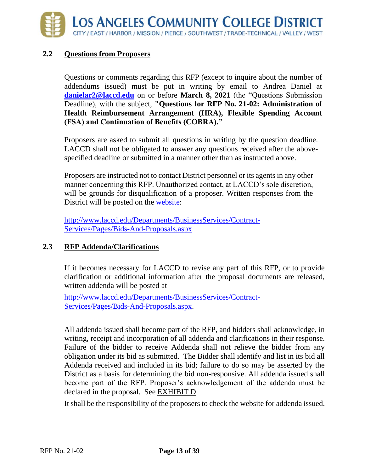#### **2.2 Questions from Proposers**

Questions or comments regarding this RFP (except to inquire about the number of addendums issued) must be put in writing by email to Andrea Daniel at **[danielar2@laccd.edu](mailto:danielar2@laccd.edu)** on or before **March 8, 2021** (the "Questions Submission Deadline), with the subject, **"Questions for RFP No. 21-02: Administration of Health Reimbursement Arrangement (HRA), Flexible Spending Account (FSA) and Continuation of Benefits (COBRA)."** 

Proposers are asked to submit all questions in writing by the question deadline. LACCD shall not be obligated to answer any questions received after the abovespecified deadline or submitted in a manner other than as instructed above.

Proposers are instructed not to contact District personnel or its agents in any other manner concerning this RFP. Unauthorized contact, at LACCD's sole discretion, will be grounds for disqualification of a proposer. Written responses from the District will be posted on the [website:](http://www.laccd.edu/Departments/BusinessServices/Contract-Services/Pages/Bids-And-Proposals.aspx)

[http://www.laccd.edu/Departments/BusinessServices/Contract-](http://www.laccd.edu/Departments/BusinessServices/Contract-Services/Pages/Bids-And-Proposals.aspx)[Services/Pages/Bids-And-Proposals.aspx](http://www.laccd.edu/Departments/BusinessServices/Contract-Services/Pages/Bids-And-Proposals.aspx)

### **2.3 RFP Addenda/Clarifications**

If it becomes necessary for LACCD to revise any part of this RFP, or to provide clarification or additional information after the proposal documents are released, written addenda will be posted at

<http://www.laccd.edu/Departments/BusinessServices/Contract->[Services/Pages/Bids-And-Proposals.aspx.](http://www.laccd.edu/Departments/BusinessServices/Contract-Services/Pages/Bids-And-Proposals.aspx)

All addenda issued shall become part of the RFP, and bidders shall acknowledge, in writing, receipt and incorporation of all addenda and clarifications in their response. Failure of the bidder to receive Addenda shall not relieve the bidder from any obligation under its bid as submitted. The Bidder shall identify and list in its bid all Addenda received and included in its bid; failure to do so may be asserted by the District as a basis for determining the bid non-responsive. All addenda issued shall become part of the RFP. Proposer's acknowledgement of the addenda must be declared in the proposal. See EXHIBIT D

It shall be the responsibility of the proposers to check the website for addenda issued.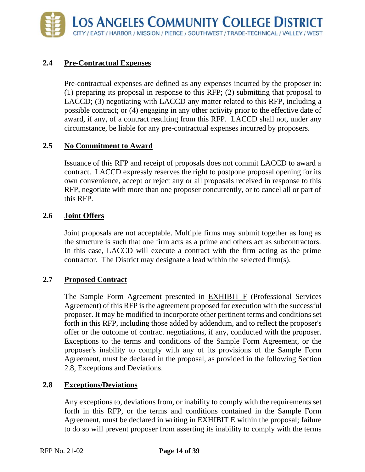### **2.4 Pre-Contractual Expenses**

Pre-contractual expenses are defined as any expenses incurred by the proposer in: (1) preparing its proposal in response to this RFP; (2) submitting that proposal to LACCD; (3) negotiating with LACCD any matter related to this RFP, including a possible contract; or (4) engaging in any other activity prior to the effective date of award, if any, of a contract resulting from this RFP. LACCD shall not, under any circumstance, be liable for any pre-contractual expenses incurred by proposers.

#### **2.5 No Commitment to Award**

Issuance of this RFP and receipt of proposals does not commit LACCD to award a contract. LACCD expressly reserves the right to postpone proposal opening for its own convenience, accept or reject any or all proposals received in response to this RFP, negotiate with more than one proposer concurrently, or to cancel all or part of this RFP.

### **2.6 Joint Offers**

Joint proposals are not acceptable. Multiple firms may submit together as long as the structure is such that one firm acts as a prime and others act as subcontractors. In this case, LACCD will execute a contract with the firm acting as the prime contractor. The District may designate a lead within the selected firm(s).

#### **2.7 Proposed Contract**

The Sample Form Agreement presented in EXHIBIT F (Professional Services Agreement) of this RFP is the agreement proposed for execution with the successful proposer. It may be modified to incorporate other pertinent terms and conditions set forth in this RFP, including those added by addendum, and to reflect the proposer's offer or the outcome of contract negotiations, if any, conducted with the proposer. Exceptions to the terms and conditions of the Sample Form Agreement, or the proposer's inability to comply with any of its provisions of the Sample Form Agreement, must be declared in the proposal, as provided in the following Section 2.8, Exceptions and Deviations.

#### **2.8 Exceptions/Deviations**

Any exceptions to, deviations from, or inability to comply with the requirements set forth in this RFP, or the terms and conditions contained in the Sample Form Agreement, must be declared in writing in EXHIBIT E within the proposal; failure to do so will prevent proposer from asserting its inability to comply with the terms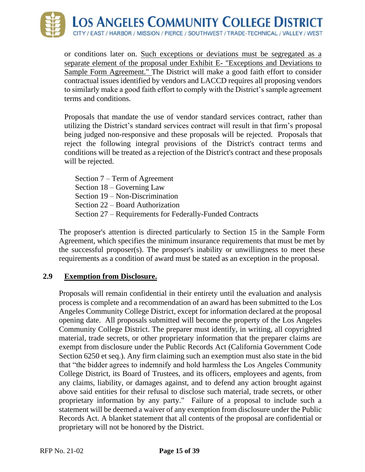

or conditions later on. Such exceptions or deviations must be segregated as a separate element of the proposal under Exhibit E- "Exceptions and Deviations to Sample Form Agreement." The District will make a good faith effort to consider contractual issues identified by vendors and LACCD requires all proposing vendors to similarly make a good faith effort to comply with the District's sample agreement terms and conditions.

Proposals that mandate the use of vendor standard services contract, rather than utilizing the District's standard services contract will result in that firm's proposal being judged non-responsive and these proposals will be rejected. Proposals that reject the following integral provisions of the District's contract terms and conditions will be treated as a rejection of the District's contract and these proposals will be rejected.

Section 7 – Term of Agreement Section 18 – Governing Law Section 19 – Non-Discrimination Section 22 – Board Authorization Section 27 – Requirements for Federally-Funded Contracts

The proposer's attention is directed particularly to Section 15 in the Sample Form Agreement, which specifies the minimum insurance requirements that must be met by the successful proposer(s). The proposer's inability or unwillingness to meet these requirements as a condition of award must be stated as an exception in the proposal.

#### **2.9 Exemption from Disclosure.**

Proposals will remain confidential in their entirety until the evaluation and analysis process is complete and a recommendation of an award has been submitted to the Los Angeles Community College District, except for information declared at the proposal opening date. All proposals submitted will become the property of the Los Angeles Community College District. The preparer must identify, in writing, all copyrighted material, trade secrets, or other proprietary information that the preparer claims are exempt from disclosure under the Public Records Act (California Government Code Section 6250 et seq.). Any firm claiming such an exemption must also state in the bid that "the bidder agrees to indemnify and hold harmless the Los Angeles Community College District, its Board of Trustees, and its officers, employees and agents, from any claims, liability, or damages against, and to defend any action brought against above said entities for their refusal to disclose such material, trade secrets, or other proprietary information by any party." Failure of a proposal to include such a statement will be deemed a waiver of any exemption from disclosure under the Public Records Act. A blanket statement that all contents of the proposal are confidential or proprietary will not be honored by the District.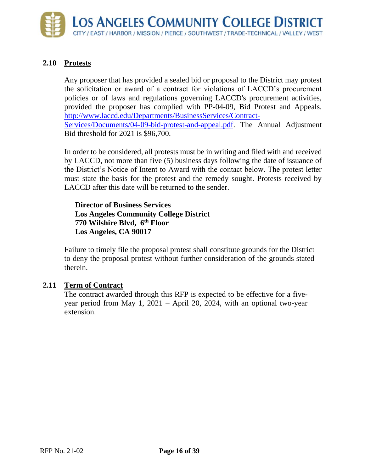

#### **2.10 Protests**

Any proposer that has provided a sealed bid or proposal to the District may protest the solicitation or award of a contract for violations of LACCD's procurement policies or of laws and regulations governing LACCD's procurement activities, provided the proposer has complied with PP-04-09, Bid Protest and Appeals. [http://www.laccd.edu/Departments/BusinessServices/Contract-](http://www.laccd.edu/Departments/BusinessServices/Contract-Services/Documents/04-09-bid-protest-and-appeal.pdf)[Services/Documents/04-09-bid-protest-and-appeal.pdf.](http://www.laccd.edu/Departments/BusinessServices/Contract-Services/Documents/04-09-bid-protest-and-appeal.pdf) The Annual Adjustment Bid threshold for 2021 is \$96,700.

In order to be considered, all protests must be in writing and filed with and received by LACCD, not more than five (5) business days following the date of issuance of the District's Notice of Intent to Award with the contact below. The protest letter must state the basis for the protest and the remedy sought. Protests received by LACCD after this date will be returned to the sender.

**Director of Business Services Los Angeles Community College District 770 Wilshire Blvd, 6th Floor Los Angeles, CA 90017**

Failure to timely file the proposal protest shall constitute grounds for the District to deny the proposal protest without further consideration of the grounds stated therein.

#### **2.11 Term of Contract**

The contract awarded through this RFP is expected to be effective for a fiveyear period from May 1, 2021 – April 20, 2024, with an optional two-year extension.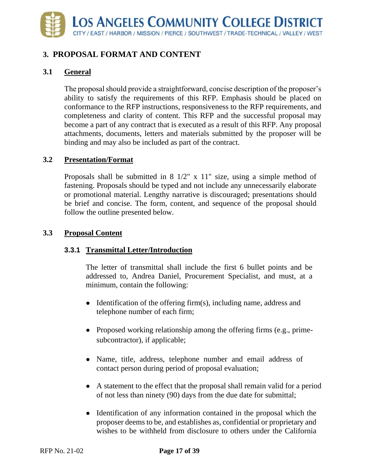# <span id="page-18-0"></span>**3. PROPOSAL FORMAT AND CONTENT**

### **3.1 General**

The proposal should provide a straightforward, concise description of the proposer's ability to satisfy the requirements of this RFP. Emphasis should be placed on conformance to the RFP instructions, responsiveness to the RFP requirements, and completeness and clarity of content. This RFP and the successful proposal may become a part of any contract that is executed as a result of this RFP. Any proposal attachments, documents, letters and materials submitted by the proposer will be binding and may also be included as part of the contract.

### **3.2 Presentation/Format**

Proposals shall be submitted in 8 1/2" x 11" size, using a simple method of fastening. Proposals should be typed and not include any unnecessarily elaborate or promotional material. Lengthy narrative is discouraged; presentations should be brief and concise. The form, content, and sequence of the proposal should follow the outline presented below.

### **3.3 Proposal Content**

### **3.3.1 Transmittal Letter/Introduction**

The letter of transmittal shall include the first 6 bullet points and be addressed to, Andrea Daniel, Procurement Specialist, and must, at a minimum, contain the following:

- Identification of the offering firm(s), including name, address and telephone number of each firm;
- Proposed working relationship among the offering firms (e.g., primesubcontractor), if applicable;
- Name, title, address, telephone number and email address of contact person during period of proposal evaluation;
- A statement to the effect that the proposal shall remain valid for a period of not less than ninety (90) days from the due date for submittal;
- Identification of any information contained in the proposal which the proposer deems to be, and establishes as, confidential or proprietary and wishes to be withheld from disclosure to others under the California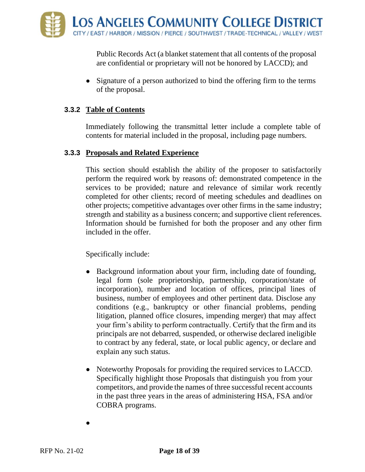Public Records Act (a blanket statement that all contents of the proposal are confidential or proprietary will not be honored by LACCD); and

• Signature of a person authorized to bind the offering firm to the terms of the proposal.

#### **3.3.2 Table of Contents**

Immediately following the transmittal letter include a complete table of contents for material included in the proposal, including page numbers.

#### **3.3.3 Proposals and Related Experience**

This section should establish the ability of the proposer to satisfactorily perform the required work by reasons of: demonstrated competence in the services to be provided; nature and relevance of similar work recently completed for other clients; record of meeting schedules and deadlines on other projects; competitive advantages over other firms in the same industry; strength and stability as a business concern; and supportive client references. Information should be furnished for both the proposer and any other firm included in the offer.

Specifically include:

- Background information about your firm, including date of founding, legal form (sole proprietorship, partnership, corporation/state of incorporation), number and location of offices, principal lines of business, number of employees and other pertinent data. Disclose any conditions (e.g., bankruptcy or other financial problems, pending litigation, planned office closures, impending merger) that may affect your firm's ability to perform contractually. Certify that the firm and its principals are not debarred, suspended, or otherwise declared ineligible to contract by any federal, state, or local public agency, or declare and explain any such status.
- Noteworthy Proposals for providing the required services to LACCD. Specifically highlight those Proposals that distinguish you from your competitors, and provide the names of three successful recent accounts in the past three years in the areas of administering HSA, FSA and/or COBRA programs.

 $\bullet$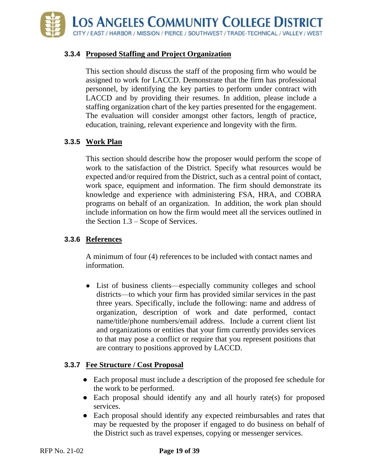

#### **3.3.4 Proposed Staffing and Project Organization**

This section should discuss the staff of the proposing firm who would be assigned to work for LACCD. Demonstrate that the firm has professional personnel, by identifying the key parties to perform under contract with LACCD and by providing their resumes. In addition, please include a staffing organization chart of the key parties presented for the engagement. The evaluation will consider amongst other factors, length of practice, education, training, relevant experience and longevity with the firm.

#### **3.3.5 Work Plan**

This section should describe how the proposer would perform the scope of work to the satisfaction of the District. Specify what resources would be expected and/or required from the District, such as a central point of contact, work space, equipment and information. The firm should demonstrate its knowledge and experience with administering FSA, HRA, and COBRA programs on behalf of an organization. In addition, the work plan should include information on how the firm would meet all the services outlined in the Section 1.3 – Scope of Services.

#### **3.3.6 References**

A minimum of four (4) references to be included with contact names and information.

• List of business clients—especially community colleges and school districts—to which your firm has provided similar services in the past three years. Specifically, include the following: name and address of organization, description of work and date performed, contact name/title/phone numbers/email address. Include a current client list and organizations or entities that your firm currently provides services to that may pose a conflict or require that you represent positions that are contrary to positions approved by LACCD.

#### **3.3.7 Fee Structure / Cost Proposal**

- Each proposal must include a description of the proposed fee schedule for the work to be performed.
- Each proposal should identify any and all hourly rate(s) for proposed services.
- Each proposal should identify any expected reimbursables and rates that may be requested by the proposer if engaged to do business on behalf of the District such as travel expenses, copying or messenger services.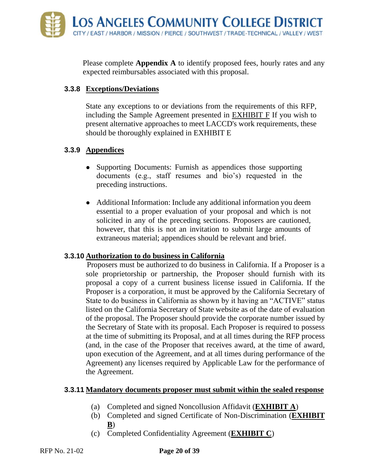Please complete **Appendix A** to identify proposed fees, hourly rates and any expected reimbursables associated with this proposal.

#### **3.3.8 Exceptions/Deviations**

State any exceptions to or deviations from the requirements of this RFP, including the Sample Agreement presented in EXHIBIT F If you wish to present alternative approaches to meet LACCD's work requirements, these should be thoroughly explained in EXHIBIT E

### **3.3.9 Appendices**

- Supporting Documents: Furnish as appendices those supporting documents (e.g., staff resumes and bio's) requested in the preceding instructions.
- Additional Information: Include any additional information you deem essential to a proper evaluation of your proposal and which is not solicited in any of the preceding sections. Proposers are cautioned, however, that this is not an invitation to submit large amounts of extraneous material; appendices should be relevant and brief.

### **3.3.10 Authorization to do business in California**

Proposers must be authorized to do business in California. If a Proposer is a sole proprietorship or partnership, the Proposer should furnish with its proposal a copy of a current business license issued in California. If the Proposer is a corporation, it must be approved by the California Secretary of State to do business in California as shown by it having an "ACTIVE" status listed on the California Secretary of State website as of the date of evaluation of the proposal. The Proposer should provide the corporate number issued by the Secretary of State with its proposal. Each Proposer is required to possess at the time of submitting its Proposal, and at all times during the RFP process (and, in the case of the Proposer that receives award, at the time of award, upon execution of the Agreement, and at all times during performance of the Agreement) any licenses required by Applicable Law for the performance of the Agreement.

#### **3.3.11 Mandatory documents proposer must submit within the sealed response**

- (a) Completed and signed Noncollusion Affidavit (**EXHIBIT A**)
- (b) Completed and signed Certificate of Non-Discrimination (**EXHIBIT B**)
- (c) Completed Confidentiality Agreement (**EXHIBIT C**)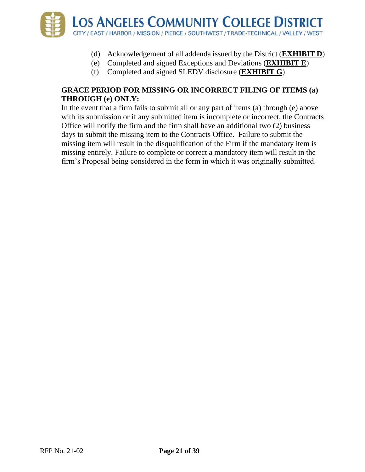

- (d) Acknowledgement of all addenda issued by the District (**EXHIBIT D**)
- (e) Completed and signed Exceptions and Deviations (**EXHIBIT E**)
- (f) Completed and signed SLEDV disclosure (**EXHIBIT G**)

### **GRACE PERIOD FOR MISSING OR INCORRECT FILING OF ITEMS (a) THROUGH (e) ONLY:**

In the event that a firm fails to submit all or any part of items (a) through (e) above with its submission or if any submitted item is incomplete or incorrect, the Contracts Office will notify the firm and the firm shall have an additional two (2) business days to submit the missing item to the Contracts Office. Failure to submit the missing item will result in the disqualification of the Firm if the mandatory item is missing entirely. Failure to complete or correct a mandatory item will result in the firm's Proposal being considered in the form in which it was originally submitted.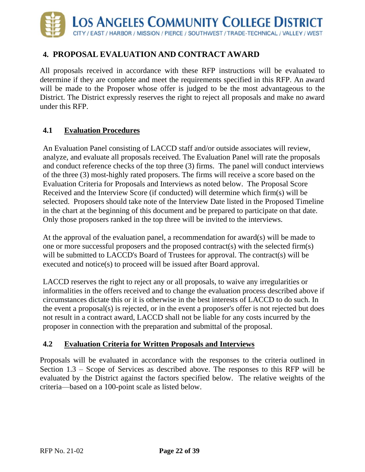

# <span id="page-23-0"></span>**4. PROPOSAL EVALUATION AND CONTRACT AWARD**

All proposals received in accordance with these RFP instructions will be evaluated to determine if they are complete and meet the requirements specified in this RFP. An award will be made to the Proposer whose offer is judged to be the most advantageous to the District. The District expressly reserves the right to reject all proposals and make no award under this RFP.

#### **4.1 Evaluation Procedures**

An Evaluation Panel consisting of LACCD staff and/or outside associates will review, analyze, and evaluate all proposals received. The Evaluation Panel will rate the proposals and conduct reference checks of the top three (3) firms. The panel will conduct interviews of the three (3) most-highly rated proposers. The firms will receive a score based on the Evaluation Criteria for Proposals and Interviews as noted below. The Proposal Score Received and the Interview Score (if conducted) will determine which firm(s) will be selected. Proposers should take note of the Interview Date listed in the Proposed Timeline in the chart at the beginning of this document and be prepared to participate on that date. Only those proposers ranked in the top three will be invited to the interviews.

At the approval of the evaluation panel, a recommendation for award(s) will be made to one or more successful proposers and the proposed contract(s) with the selected firm(s) will be submitted to LACCD's Board of Trustees for approval. The contract(s) will be executed and notice(s) to proceed will be issued after Board approval.

LACCD reserves the right to reject any or all proposals, to waive any irregularities or informalities in the offers received and to change the evaluation process described above if circumstances dictate this or it is otherwise in the best interests of LACCD to do such. In the event a proposal(s) is rejected, or in the event a proposer's offer is not rejected but does not result in a contract award, LACCD shall not be liable for any costs incurred by the proposer in connection with the preparation and submittal of the proposal.

#### **4.2 Evaluation Criteria for Written Proposals and Interviews**

Proposals will be evaluated in accordance with the responses to the criteria outlined in Section 1.3 – Scope of Services as described above. The responses to this RFP will be evaluated by the District against the factors specified below. The relative weights of the criteria—based on a 100-point scale as listed below.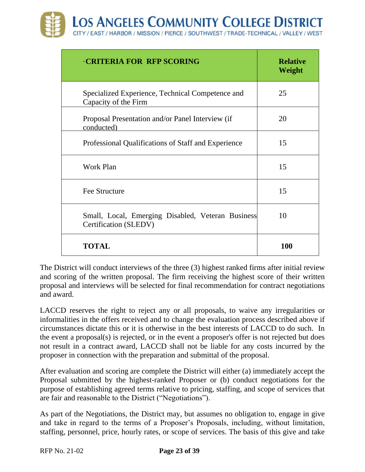| <b>CRITERIA FOR RFP SCORING</b>                                            | <b>Relative</b><br>Weight |
|----------------------------------------------------------------------------|---------------------------|
| Specialized Experience, Technical Competence and<br>Capacity of the Firm   | 25                        |
| Proposal Presentation and/or Panel Interview (if<br>conducted)             | 20                        |
| Professional Qualifications of Staff and Experience                        | 15                        |
| Work Plan                                                                  | 15                        |
| <b>Fee Structure</b>                                                       | 15                        |
| Small, Local, Emerging Disabled, Veteran Business<br>Certification (SLEDV) | 10                        |
| <b>TOTAL</b>                                                               | <b>100</b>                |

The District will conduct interviews of the three (3) highest ranked firms after initial review and scoring of the written proposal. The firm receiving the highest score of their written proposal and interviews will be selected for final recommendation for contract negotiations and award.

LACCD reserves the right to reject any or all proposals, to waive any irregularities or informalities in the offers received and to change the evaluation process described above if circumstances dictate this or it is otherwise in the best interests of LACCD to do such. In the event a proposal(s) is rejected, or in the event a proposer's offer is not rejected but does not result in a contract award, LACCD shall not be liable for any costs incurred by the proposer in connection with the preparation and submittal of the proposal.

After evaluation and scoring are complete the District will either (a) immediately accept the Proposal submitted by the highest-ranked Proposer or (b) conduct negotiations for the purpose of establishing agreed terms relative to pricing, staffing, and scope of services that are fair and reasonable to the District ("Negotiations").

As part of the Negotiations, the District may, but assumes no obligation to, engage in give and take in regard to the terms of a Proposer's Proposals, including, without limitation, staffing, personnel, price, hourly rates, or scope of services. The basis of this give and take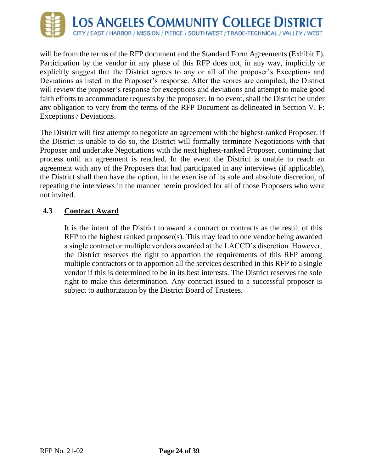

will be from the terms of the RFP document and the Standard Form Agreements (Exhibit F). Participation by the vendor in any phase of this RFP does not, in any way, implicitly or explicitly suggest that the District agrees to any or all of the proposer's Exceptions and Deviations as listed in the Proposer's response. After the scores are compiled, the District will review the proposer's response for exceptions and deviations and attempt to make good faith efforts to accommodate requests by the proposer. In no event, shall the District be under any obligation to vary from the terms of the RFP Document as delineated in Section V. F: Exceptions / Deviations.

The District will first attempt to negotiate an agreement with the highest-ranked Proposer. If the District is unable to do so, the District will formally terminate Negotiations with that Proposer and undertake Negotiations with the next highest-ranked Proposer, continuing that process until an agreement is reached. In the event the District is unable to reach an agreement with any of the Proposers that had participated in any interviews (if applicable), the District shall then have the option, in the exercise of its sole and absolute discretion, of repeating the interviews in the manner herein provided for all of those Proposers who were not invited.

#### **4.3 Contract Award**

It is the intent of the District to award a contract or contracts as the result of this RFP to the highest ranked proposer(s). This may lead to one vendor being awarded a single contract or multiple vendors awarded at the LACCD's discretion. However, the District reserves the right to apportion the requirements of this RFP among multiple contractors or to apportion all the services described in this RFP to a single vendor if this is determined to be in its best interests. The District reserves the sole right to make this determination. Any contract issued to a successful proposer is subject to authorization by the District Board of Trustees.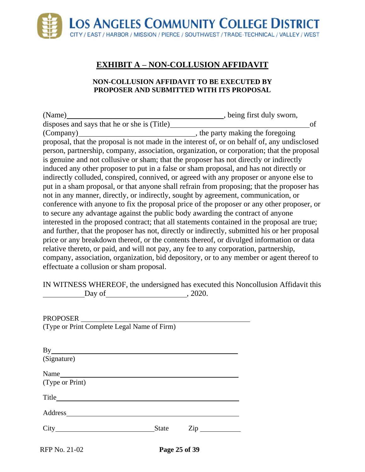# **EXHIBIT A – NON-COLLUSION AFFIDAVIT**

#### **NON-COLLUSION AFFIDAVIT TO BE EXECUTED BY PROPOSER AND SUBMITTED WITH ITS PROPOSAL**

<span id="page-26-0"></span>

| (Name)                                                                                        | , being first duly sworn,        |
|-----------------------------------------------------------------------------------------------|----------------------------------|
| disposes and says that he or she is (Title)                                                   | of                               |
| (Company)                                                                                     | , the party making the foregoing |
| proposal, that the proposal is not made in the interest of, or on behalf of, any undisclosed  |                                  |
| person, partnership, company, association, organization, or corporation; that the proposal    |                                  |
| is genuine and not collusive or sham; that the proposer has not directly or indirectly        |                                  |
| induced any other proposer to put in a false or sham proposal, and has not directly or        |                                  |
| indirectly colluded, conspired, connived, or agreed with any proposer or anyone else to       |                                  |
| put in a sham proposal, or that anyone shall refrain from proposing; that the proposer has    |                                  |
| not in any manner, directly, or indirectly, sought by agreement, communication, or            |                                  |
| conference with anyone to fix the proposal price of the proposer or any other proposer, or    |                                  |
| to secure any advantage against the public body awarding the contract of anyone               |                                  |
| interested in the proposed contract; that all statements contained in the proposal are true;  |                                  |
| and further, that the proposer has not, directly or indirectly, submitted his or her proposal |                                  |
| price or any breakdown thereof, or the contents thereof, or divulged information or data      |                                  |
| relative thereto, or paid, and will not pay, any fee to any corporation, partnership,         |                                  |
| company, association, organization, bid depository, or to any member or agent thereof to      |                                  |
| effectuate a collusion or sham proposal.                                                      |                                  |

IN WITNESS WHEREOF, the undersigned has executed this Noncollusion Affidavit this Day of , 2020.

| (Type or Print Complete Legal Name of Firm) |
|---------------------------------------------|
|---------------------------------------------|

| By              |       |                                |
|-----------------|-------|--------------------------------|
| (Signature)     |       |                                |
| Name            |       |                                |
| (Type or Print) |       |                                |
| Title           |       |                                |
| Address         |       |                                |
|                 | State | $\mathsf{Zip} \longrightarrow$ |
|                 |       |                                |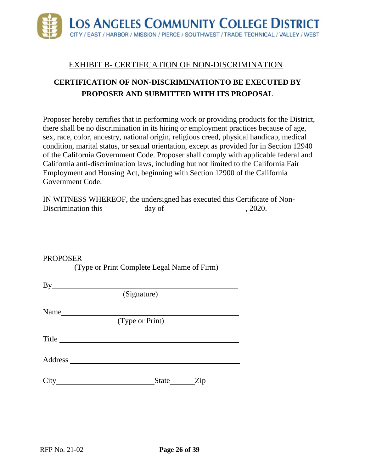

### EXHIBIT B- CERTIFICATION OF NON-DISCRIMINATION

# <span id="page-27-0"></span>**CERTIFICATION OF NON-DISCRIMINATIONTO BE EXECUTED BY PROPOSER AND SUBMITTED WITH ITS PROPOSAL**

Proposer hereby certifies that in performing work or providing products for the District, there shall be no discrimination in its hiring or employment practices because of age, sex, race, color, ancestry, national origin, religious creed, physical handicap, medical condition, marital status, or sexual orientation, except as provided for in Section 12940 of the California Government Code. Proposer shall comply with applicable federal and California anti-discrimination laws, including but not limited to the California Fair Employment and Housing Act, beginning with Section 12900 of the California Government Code.

|                     | IN WITNESS WHEREOF, the undersigned has executed this Certificate of Non- |        |
|---------------------|---------------------------------------------------------------------------|--------|
| Discrimination this | day of                                                                    | .2020. |

| PROPOSER |                                                                                                                                                                                                                                |                 |           |  |
|----------|--------------------------------------------------------------------------------------------------------------------------------------------------------------------------------------------------------------------------------|-----------------|-----------|--|
|          | (Type or Print Complete Legal Name of Firm)                                                                                                                                                                                    |                 |           |  |
|          |                                                                                                                                                                                                                                |                 |           |  |
|          |                                                                                                                                                                                                                                |                 |           |  |
|          |                                                                                                                                                                                                                                | (Signature)     |           |  |
| Name     |                                                                                                                                                                                                                                |                 |           |  |
|          |                                                                                                                                                                                                                                | (Type or Print) |           |  |
| Title    |                                                                                                                                                                                                                                |                 |           |  |
|          |                                                                                                                                                                                                                                |                 |           |  |
|          | City the contract of the contract of the contract of the contract of the contract of the contract of the contract of the contract of the contract of the contract of the contract of the contract of the contract of the contr |                 | State Zip |  |
|          |                                                                                                                                                                                                                                |                 |           |  |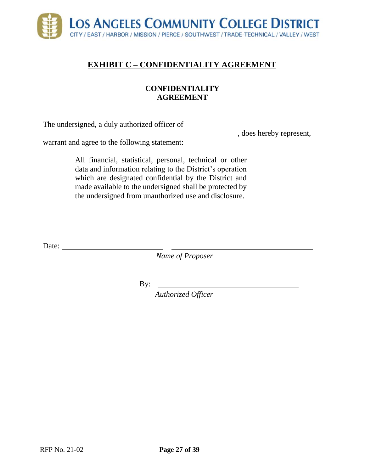

# <span id="page-28-0"></span>**EXHIBIT C – CONFIDENTIALITY AGREEMENT**

#### **CONFIDENTIALITY AGREEMENT**

The undersigned, a duly authorized officer of

, does hereby represent,

warrant and agree to the following statement:

All financial, statistical, personal, technical or other data and information relating to the District's operation which are designated confidential by the District and made available to the undersigned shall be protected by the undersigned from unauthorized use and disclosure.

Date:

*Name of Proposer*

By:

*Authorized Officer*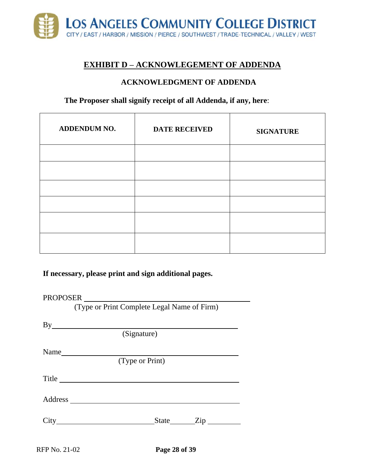

### **EXHIBIT D – ACKNOWLEGEMENT OF ADDENDA**

#### **ACKNOWLEDGMENT OF ADDENDA**

#### <span id="page-29-0"></span>**The Proposer shall signify receipt of all Addenda, if any, here**:

| ADDENDUM NO. | <b>DATE RECEIVED</b> | <b>SIGNATURE</b> |
|--------------|----------------------|------------------|
|              |                      |                  |
|              |                      |                  |
|              |                      |                  |
|              |                      |                  |
|              |                      |                  |
|              |                      |                  |

**If necessary, please print and sign additional pages.**

PROPOSER

(Type or Print Complete Legal Name of Firm)

| By                                                          |                                |
|-------------------------------------------------------------|--------------------------------|
| (Signature)                                                 |                                |
| Name                                                        |                                |
| (Type or Print)                                             |                                |
| Title                                                       |                                |
|                                                             |                                |
| City<br><u> 1989 - Andrea Station Barbara, amerikan per</u> | State ________ Zip ___________ |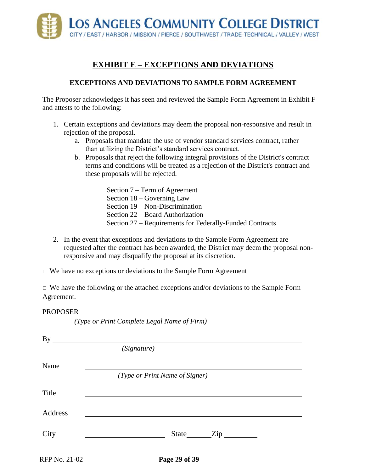

# **EXHIBIT E – EXCEPTIONS AND DEVIATIONS**

#### **EXCEPTIONS AND DEVIATIONS TO SAMPLE FORM AGREEMENT**

<span id="page-30-0"></span>The Proposer acknowledges it has seen and reviewed the Sample Form Agreement in Exhibit F and attests to the following:

- 1. Certain exceptions and deviations may deem the proposal non-responsive and result in rejection of the proposal.
	- a. Proposals that mandate the use of vendor standard services contract, rather than utilizing the District's standard services contract.
	- b. Proposals that reject the following integral provisions of the District's contract terms and conditions will be treated as a rejection of the District's contract and these proposals will be rejected.
		- Section 7 Term of Agreement Section 18 – Governing Law Section 19 – Non-Discrimination Section 22 – Board Authorization Section 27 – Requirements for Federally-Funded Contracts
- 2. In the event that exceptions and deviations to the Sample Form Agreement are requested after the contract has been awarded, the District may deem the proposal nonresponsive and may disqualify the proposal at its discretion.
- $\Box$  We have no exceptions or deviations to the Sample Form Agreement

*(Type or Print Complete Legal Name of Firm)*

 $\Box$  We have the following or the attached exceptions and/or deviations to the Sample Form Agreement.

#### PROPOSER

|               | By<br>(Signature)                                 |
|---------------|---------------------------------------------------|
| Name          |                                                   |
|               | (Type or Print Name of Signer)                    |
| Title         |                                                   |
| Address       |                                                   |
| City          | <u> 1980 - Johann Barbara, martxa alemaniar a</u> |
| RFP No. 21-02 | Page 29 of 39                                     |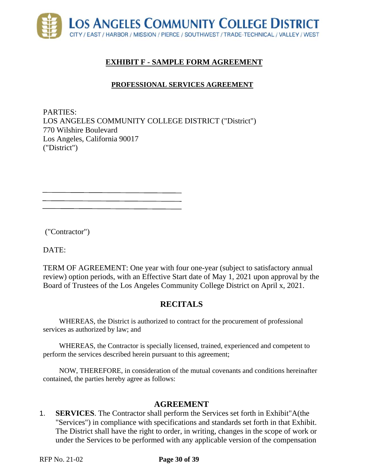<span id="page-31-0"></span>

# **EXHIBIT F - SAMPLE FORM AGREEMENT**

### **PROFESSIONAL SERVICES AGREEMENT**

PARTIES: LOS ANGELES COMMUNITY COLLEGE DISTRICT ("District") 770 Wilshire Boulevard Los Angeles, California 90017 ("District")

("Contractor")

DATE:

TERM OF AGREEMENT: One year with four one-year (subject to satisfactory annual review) option periods, with an Effective Start date of May 1, 2021 upon approval by the Board of Trustees of the Los Angeles Community College District on April x, 2021.

# **RECITALS**

WHEREAS, the District is authorized to contract for the procurement of professional services as authorized by law; and

WHEREAS, the Contractor is specially licensed, trained, experienced and competent to perform the services described herein pursuant to this agreement;

NOW, THEREFORE, in consideration of the mutual covenants and conditions hereinafter contained, the parties hereby agree as follows:

### **AGREEMENT**

1. **SERVICES**. The Contractor shall perform the Services set forth in Exhibit"A(the "Services") in compliance with specifications and standards set forth in that Exhibit. The District shall have the right to order, in writing, changes in the scope of work or under the Services to be performed with any applicable version of the compensation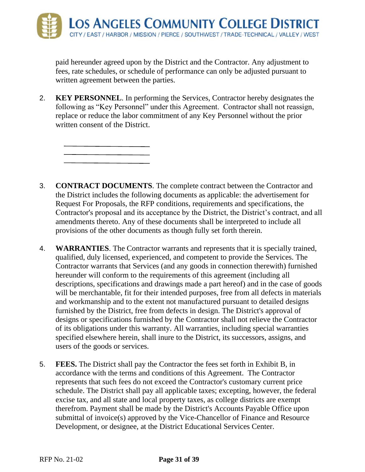paid hereunder agreed upon by the District and the Contractor. Any adjustment to fees, rate schedules, or schedule of performance can only be adjusted pursuant to written agreement between the parties.

2. **KEY PERSONNEL**. In performing the Services, Contractor hereby designates the following as "Key Personnel" under this Agreement. Contractor shall not reassign, replace or reduce the labor commitment of any Key Personnel without the prior written consent of the District.



- 4. **WARRANTIES**. The Contractor warrants and represents that it is specially trained, qualified, duly licensed, experienced, and competent to provide the Services. The Contractor warrants that Services (and any goods in connection therewith) furnished hereunder will conform to the requirements of this agreement (including all descriptions, specifications and drawings made a part hereof) and in the case of goods will be merchantable, fit for their intended purposes, free from all defects in materials and workmanship and to the extent not manufactured pursuant to detailed designs furnished by the District, free from defects in design. The District's approval of designs or specifications furnished by the Contractor shall not relieve the Contractor of its obligations under this warranty. All warranties, including special warranties specified elsewhere herein, shall inure to the District, its successors, assigns, and users of the goods or services.
- 5. **FEES.** The District shall pay the Contractor the fees set forth in Exhibit B, in accordance with the terms and conditions of this Agreement. The Contractor represents that such fees do not exceed the Contractor's customary current price schedule. The District shall pay all applicable taxes; excepting, however, the federal excise tax, and all state and local property taxes, as college districts are exempt therefrom. Payment shall be made by the District's Accounts Payable Office upon submittal of invoice(s) approved by the Vice-Chancellor of Finance and Resource Development, or designee, at the District Educational Services Center.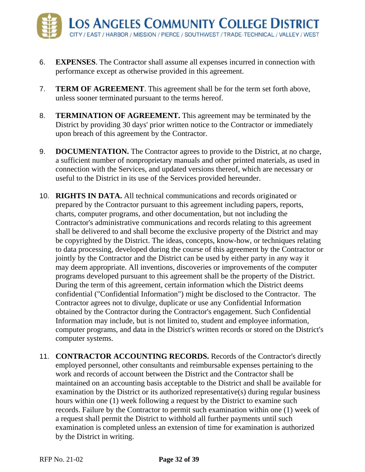- 6. **EXPENSES**. The Contractor shall assume all expenses incurred in connection with performance except as otherwise provided in this agreement.
- 7. **TERM OF AGREEMENT**. This agreement shall be for the term set forth above, unless sooner terminated pursuant to the terms hereof.
- 8. **TERMINATION OF AGREEMENT.** This agreement may be terminated by the District by providing 30 days' prior written notice to the Contractor or immediately upon breach of this agreement by the Contractor.
- 9. **DOCUMENTATION.** The Contractor agrees to provide to the District, at no charge, a sufficient number of nonproprietary manuals and other printed materials, as used in connection with the Services, and updated versions thereof, which are necessary or useful to the District in its use of the Services provided hereunder.
- 10. **RIGHTS IN DATA.** All technical communications and records originated or prepared by the Contractor pursuant to this agreement including papers, reports, charts, computer programs, and other documentation, but not including the Contractor's administrative communications and records relating to this agreement shall be delivered to and shall become the exclusive property of the District and may be copyrighted by the District. The ideas, concepts, know-how, or techniques relating to data processing, developed during the course of this agreement by the Contractor or jointly by the Contractor and the District can be used by either party in any way it may deem appropriate. All inventions, discoveries or improvements of the computer programs developed pursuant to this agreement shall be the property of the District. During the term of this agreement, certain information which the District deems confidential ("Confidential Information") might be disclosed to the Contractor. The Contractor agrees not to divulge, duplicate or use any Confidential Information obtained by the Contractor during the Contractor's engagement. Such Confidential Information may include, but is not limited to, student and employee information, computer programs, and data in the District's written records or stored on the District's computer systems.
- 11. **CONTRACTOR ACCOUNTING RECORDS.** Records of the Contractor's directly employed personnel, other consultants and reimbursable expenses pertaining to the work and records of account between the District and the Contractor shall be maintained on an accounting basis acceptable to the District and shall be available for examination by the District or its authorized representative(s) during regular business hours within one (1) week following a request by the District to examine such records. Failure by the Contractor to permit such examination within one (1) week of a request shall permit the District to withhold all further payments until such examination is completed unless an extension of time for examination is authorized by the District in writing.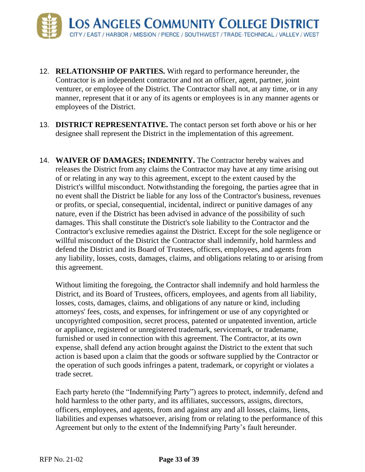- 12. **RELATIONSHIP OF PARTIES.** With regard to performance hereunder, the Contractor is an independent contractor and not an officer, agent, partner, joint venturer, or employee of the District. The Contractor shall not, at any time, or in any manner, represent that it or any of its agents or employees is in any manner agents or employees of the District.
- 13. **DISTRICT REPRESENTATIVE.** The contact person set forth above or his or her designee shall represent the District in the implementation of this agreement.
- 14. **WAIVER OF DAMAGES; INDEMNITY.** The Contractor hereby waives and releases the District from any claims the Contractor may have at any time arising out of or relating in any way to this agreement, except to the extent caused by the District's willful misconduct. Notwithstanding the foregoing, the parties agree that in no event shall the District be liable for any loss of the Contractor's business, revenues or profits, or special, consequential, incidental, indirect or punitive damages of any nature, even if the District has been advised in advance of the possibility of such damages. This shall constitute the District's sole liability to the Contractor and the Contractor's exclusive remedies against the District. Except for the sole negligence or willful misconduct of the District the Contractor shall indemnify, hold harmless and defend the District and its Board of Trustees, officers, employees, and agents from any liability, losses, costs, damages, claims, and obligations relating to or arising from this agreement.

Without limiting the foregoing, the Contractor shall indemnify and hold harmless the District, and its Board of Trustees, officers, employees, and agents from all liability, losses, costs, damages, claims, and obligations of any nature or kind, including attorneys' fees, costs, and expenses, for infringement or use of any copyrighted or uncopyrighted composition, secret process, patented or unpatented invention, article or appliance, registered or unregistered trademark, servicemark, or tradename, furnished or used in connection with this agreement. The Contractor, at its own expense, shall defend any action brought against the District to the extent that such action is based upon a claim that the goods or software supplied by the Contractor or the operation of such goods infringes a patent, trademark, or copyright or violates a trade secret.

Each party hereto (the "Indemnifying Party") agrees to protect, indemnify, defend and hold harmless to the other party, and its affiliates, successors, assigns, directors, officers, employees, and agents, from and against any and all losses, claims, liens, liabilities and expenses whatsoever, arising from or relating to the performance of this Agreement but only to the extent of the Indemnifying Party's fault hereunder.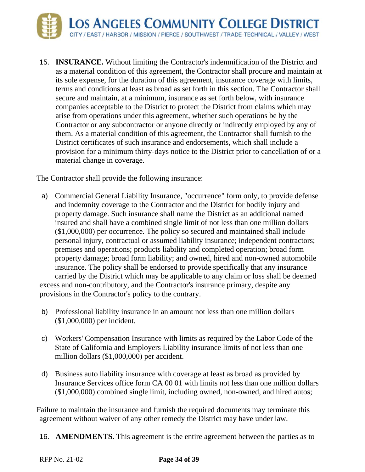

15. **INSURANCE.** Without limiting the Contractor's indemnification of the District and as a material condition of this agreement, the Contractor shall procure and maintain at its sole expense, for the duration of this agreement, insurance coverage with limits, terms and conditions at least as broad as set forth in this section. The Contractor shall secure and maintain, at a minimum, insurance as set forth below, with insurance companies acceptable to the District to protect the District from claims which may arise from operations under this agreement, whether such operations be by the Contractor or any subcontractor or anyone directly or indirectly employed by any of them. As a material condition of this agreement, the Contractor shall furnish to the District certificates of such insurance and endorsements, which shall include a provision for a minimum thirty-days notice to the District prior to cancellation of or a material change in coverage.

The Contractor shall provide the following insurance:

- a) Commercial General Liability Insurance, "occurrence" form only, to provide defense and indemnity coverage to the Contractor and the District for bodily injury and property damage. Such insurance shall name the District as an additional named insured and shall have a combined single limit of not less than one million dollars (\$1,000,000) per occurrence. The policy so secured and maintained shall include personal injury, contractual or assumed liability insurance; independent contractors; premises and operations; products liability and completed operation; broad form property damage; broad form liability; and owned, hired and non-owned automobile insurance. The policy shall be endorsed to provide specifically that any insurance carried by the District which may be applicable to any claim or loss shall be deemed excess and non-contributory, and the Contractor's insurance primary, despite any provisions in the Contractor's policy to the contrary.
- b) Professional liability insurance in an amount not less than one million dollars (\$1,000,000) per incident.
- c) Workers' Compensation Insurance with limits as required by the Labor Code of the State of California and Employers Liability insurance limits of not less than one million dollars (\$1,000,000) per accident.
- d) Business auto liability insurance with coverage at least as broad as provided by Insurance Services office form CA 00 01 with limits not less than one million dollars (\$1,000,000) combined single limit, including owned, non-owned, and hired autos;

Failure to maintain the insurance and furnish the required documents may terminate this agreement without waiver of any other remedy the District may have under law.

16. **AMENDMENTS.** This agreement is the entire agreement between the parties as to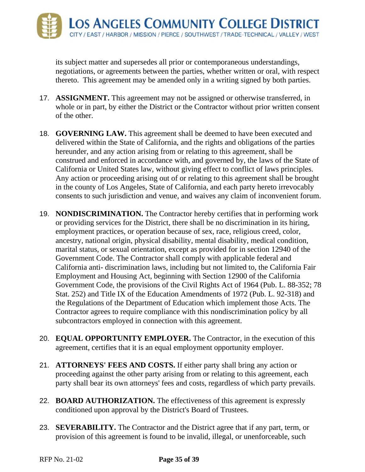its subject matter and supersedes all prior or contemporaneous understandings, negotiations, or agreements between the parties, whether written or oral, with respect thereto. This agreement may be amended only in a writing signed by both parties.

- 17. **ASSIGNMENT.** This agreement may not be assigned or otherwise transferred, in whole or in part, by either the District or the Contractor without prior written consent of the other.
- 18. **GOVERNING LAW.** This agreement shall be deemed to have been executed and delivered within the State of California, and the rights and obligations of the parties hereunder, and any action arising from or relating to this agreement, shall be construed and enforced in accordance with, and governed by, the laws of the State of California or United States law, without giving effect to conflict of laws principles. Any action or proceeding arising out of or relating to this agreement shall be brought in the county of Los Angeles, State of California, and each party hereto irrevocably consents to such jurisdiction and venue, and waives any claim of inconvenient forum.
- 19. **NONDISCRIMINATION.** The Contractor hereby certifies that in performing work or providing services for the District, there shall be no discrimination in its hiring, employment practices, or operation because of sex, race, religious creed, color, ancestry, national origin, physical disability, mental disability, medical condition, marital status, or sexual orientation, except as provided for in section 12940 of the Government Code. The Contractor shall comply with applicable federal and California anti- discrimination laws, including but not limited to, the California Fair Employment and Housing Act, beginning with Section 12900 of the California Government Code, the provisions of the Civil Rights Act of 1964 (Pub. L. 88-352; 78 Stat. 252) and Title IX of the Education Amendments of 1972 (Pub. L. 92-318) and the Regulations of the Department of Education which implement those Acts. The Contractor agrees to require compliance with this nondiscrimination policy by all subcontractors employed in connection with this agreement.
- 20. **EQUAL OPPORTUNITY EMPLOYER.** The Contractor, in the execution of this agreement, certifies that it is an equal employment opportunity employer.
- 21. **ATTORNEYS' FEES AND COSTS.** If either party shall bring any action or proceeding against the other party arising from or relating to this agreement, each party shall bear its own attorneys' fees and costs, regardless of which party prevails.
- 22. **BOARD AUTHORIZATION.** The effectiveness of this agreement is expressly conditioned upon approval by the District's Board of Trustees.
- 23. **SEVERABILITY.** The Contractor and the District agree that if any part, term, or provision of this agreement is found to be invalid, illegal, or unenforceable, such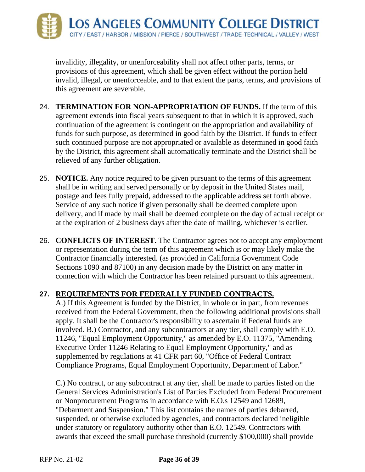

invalidity, illegality, or unenforceability shall not affect other parts, terms, or provisions of this agreement, which shall be given effect without the portion held invalid, illegal, or unenforceable, and to that extent the parts, terms, and provisions of this agreement are severable.

- 24. **TERMINATION FOR NON-APPROPRIATION OF FUNDS.** If the term of this agreement extends into fiscal years subsequent to that in which it is approved, such continuation of the agreement is contingent on the appropriation and availability of funds for such purpose, as determined in good faith by the District. If funds to effect such continued purpose are not appropriated or available as determined in good faith by the District, this agreement shall automatically terminate and the District shall be relieved of any further obligation.
- 25. **NOTICE.** Any notice required to be given pursuant to the terms of this agreement shall be in writing and served personally or by deposit in the United States mail, postage and fees fully prepaid, addressed to the applicable address set forth above. Service of any such notice if given personally shall be deemed complete upon delivery, and if made by mail shall be deemed complete on the day of actual receipt or at the expiration of 2 business days after the date of mailing, whichever is earlier.
- 26. **CONFLICTS OF INTEREST.** The Contractor agrees not to accept any employment or representation during the term of this agreement which is or may likely make the Contractor financially interested. (as provided in California Government Code Sections 1090 and 87100) in any decision made by the District on any matter in connection with which the Contractor has been retained pursuant to this agreement.

#### **27. REQUIREMENTS FOR FEDERALLY FUNDED CONTRACTS.**

A.) If this Agreement is funded by the District, in whole or in part, from revenues received from the Federal Government, then the following additional provisions shall apply. It shall be the Contractor's responsibility to ascertain if Federal funds are involved. B.) Contractor, and any subcontractors at any tier, shall comply with E.O. 11246, "Equal Employment Opportunity," as amended by E.O. 11375, "Amending Executive Order 11246 Relating to Equal Employment Opportunity," and as supplemented by regulations at 41 CFR part 60, "Office of Federal Contract Compliance Programs, Equal Employment Opportunity, Department of Labor."

C.) No contract, or any subcontract at any tier, shall be made to parties listed on the General Services Administration's List of Parties Excluded from Federal Procurement or Nonprocurement Programs in accordance with E.O.s 12549 and 12689, "Debarment and Suspension." This list contains the names of parties debarred, suspended, or otherwise excluded by agencies, and contractors declared ineligible under statutory or regulatory authority other than E.O. 12549. Contractors with awards that exceed the small purchase threshold (currently \$100,000) shall provide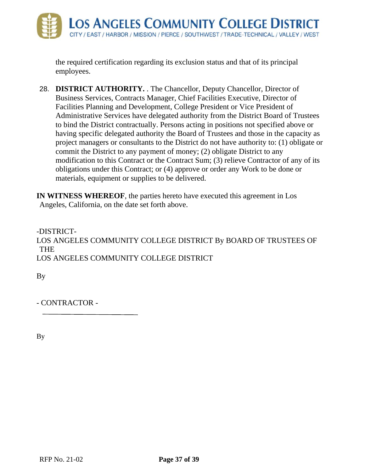

the required certification regarding its exclusion status and that of its principal employees.

28. **DISTRICT AUTHORITY.** . The Chancellor, Deputy Chancellor, Director of Business Services, Contracts Manager, Chief Facilities Executive, Director of Facilities Planning and Development, College President or Vice President of Administrative Services have delegated authority from the District Board of Trustees to bind the District contractually. Persons acting in positions not specified above or having specific delegated authority the Board of Trustees and those in the capacity as project managers or consultants to the District do not have authority to: (1) obligate or commit the District to any payment of money; (2) obligate District to any modification to this Contract or the Contract Sum; (3) relieve Contractor of any of its obligations under this Contract; or (4) approve or order any Work to be done or materials, equipment or supplies to be delivered.

**IN WITNESS WHEREOF**, the parties hereto have executed this agreement in Los Angeles, California, on the date set forth above.

-DISTRICT-LOS ANGELES COMMUNITY COLLEGE DISTRICT By BOARD OF TRUSTEES OF THE LOS ANGELES COMMUNITY COLLEGE DISTRICT

By

- CONTRACTOR -

By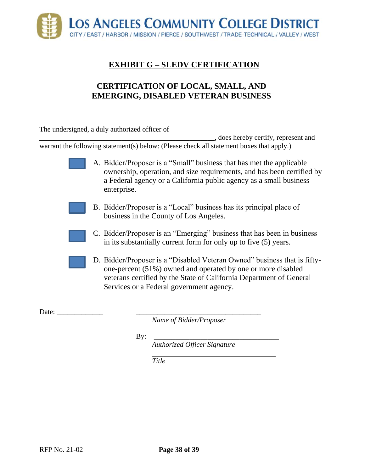<span id="page-39-0"></span>

# **EXHIBIT G – SLEDV CERTIFICATION**

# **CERTIFICATION OF LOCAL, SMALL, AND EMERGING, DISABLED VETERAN BUSINESS**

The undersigned, a duly authorized officer of

\_\_\_\_\_\_\_\_\_\_\_\_\_\_\_\_\_\_\_\_\_\_\_\_\_\_\_\_\_\_\_\_\_\_\_\_\_\_\_\_\_\_\_\_\_\_\_\_\_, does hereby certify, represent and warrant the following statement(s) below: (Please check all statement boxes that apply.)

> A. Bidder/Proposer is a "Small" business that has met the applicable ownership, operation, and size requirements, and has been certified by a Federal agency or a California public agency as a small business enterprise.

- B. Bidder/Proposer is a "Local" business has its principal place of business in the County of Los Angeles.
- C. Bidder/Proposer is an "Emerging" business that has been in business in its substantially current form for only up to five (5) years.
- D. Bidder/Proposer is a "Disabled Veteran Owned" business that is fiftyone-percent (51%) owned and operated by one or more disabled veterans certified by the State of California Department of General Services or a Federal government agency.

Date:  $\frac{1}{\sqrt{1-\frac{1}{2}}}$ 

*Name of Bidder/Proposer*

By: \_\_\_\_\_\_\_\_\_\_\_\_\_\_\_\_\_\_\_\_\_\_\_\_\_\_\_\_\_\_\_\_\_\_\_

*Authorized Officer Signature*

*Title*